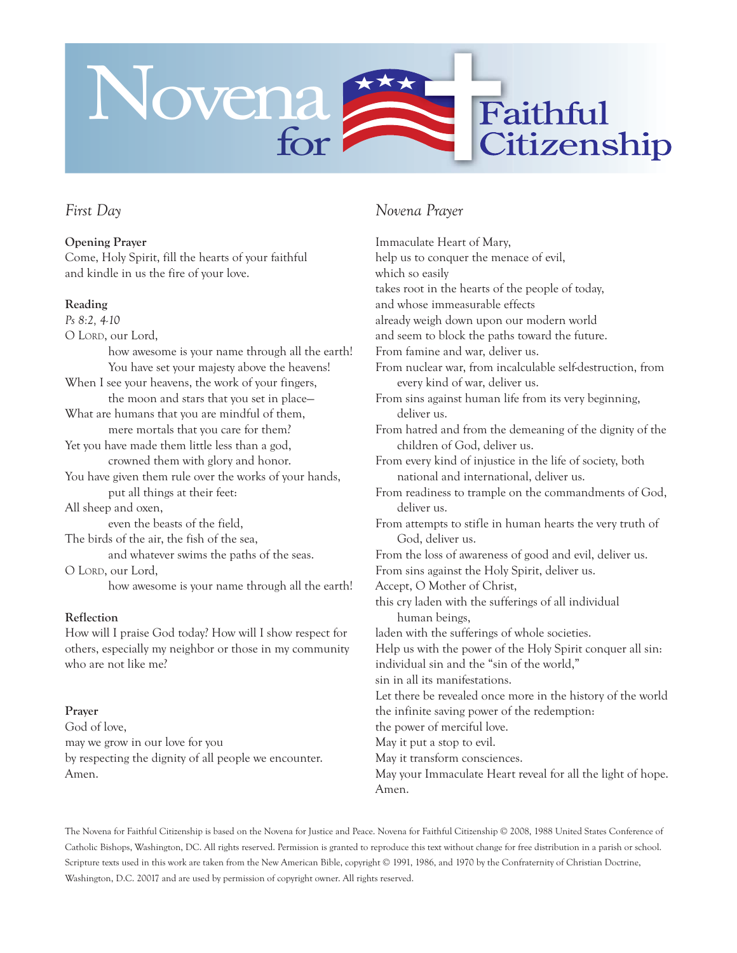

## *First Day*

### **Opening Prayer**

Come, Holy Spirit, fill the hearts of your faithful and kindle in us the fire of your love.

### **Reading**

| $Ps 8:2, 4-10$                                           |
|----------------------------------------------------------|
| O LORD, our Lord,                                        |
| how awesome is your name through all the earth!          |
| You have set your majesty above the heavens!             |
| When I see your heavens, the work of your fingers,       |
| the moon and stars that you set in place-                |
| What are humans that you are mindful of them,            |
| mere mortals that you care for them?                     |
| Yet you have made them little less than a god,           |
| crowned them with glory and honor.                       |
| You have given them rule over the works of your hands,   |
| put all things at their feet:                            |
| All sheep and oxen,                                      |
| even the beasts of the field,                            |
| The birds of the air, the fish of the sea,               |
| and whatever swims the paths of the seas.                |
| O LORD, our Lord,                                        |
| how awesome is your name through all the earth!          |
|                                                          |
| Reflection                                               |
| How will I praise God today? How will I show respect for |
| others, especially my neighbor or those in my community  |
| who are not like me?                                     |

### **Prayer**

God of love, may we grow in our love for you by respecting the dignity of all people we encounter. Amen.

# *Novena Prayer*

Immaculate Heart of Mary, help us to conquer the menace of evil, which so easily takes root in the hearts of the people of today, and whose immeasurable effects already weigh down upon our modern world and seem to block the paths toward the future. From famine and war, deliver us. From nuclear war, from incalculable self-destruction, from every kind of war, deliver us. From sins against human life from its very beginning, deliver us. From hatred and from the demeaning of the dignity of the children of God, deliver us. From every kind of injustice in the life of society, both national and international, deliver us. From readiness to trample on the commandments of God, deliver us. From attempts to stifle in human hearts the very truth of God, deliver us. From the loss of awareness of good and evil, deliver us. From sins against the Holy Spirit, deliver us. Accept, O Mother of Christ, this cry laden with the sufferings of all individual human beings, laden with the sufferings of whole societies. Help us with the power of the Holy Spirit conquer all sin: individual sin and the "sin of the world," sin in all its manifestations. Let there be revealed once more in the history of the world the infinite saving power of the redemption: the power of merciful love. May it put a stop to evil. May it transform consciences. May your Immaculate Heart reveal for all the light of hope. Amen.

The Novena for Faithful Citizenship is based on the Novena for Justice and Peace. Novena for Faithful Citizenship © 2008, 1988 United States Conference of Catholic Bishops, Washington, DC. All rights reserved. Permission is granted to reproduce this text without change for free distribution in a parish or school. Scripture texts used in this work are taken from the New American Bible, copyright © 1991, 1986, and 1970 by the Confraternity of Christian Doctrine, Washington, D.C. 20017 and are used by permission of copyright owner. All rights reserved.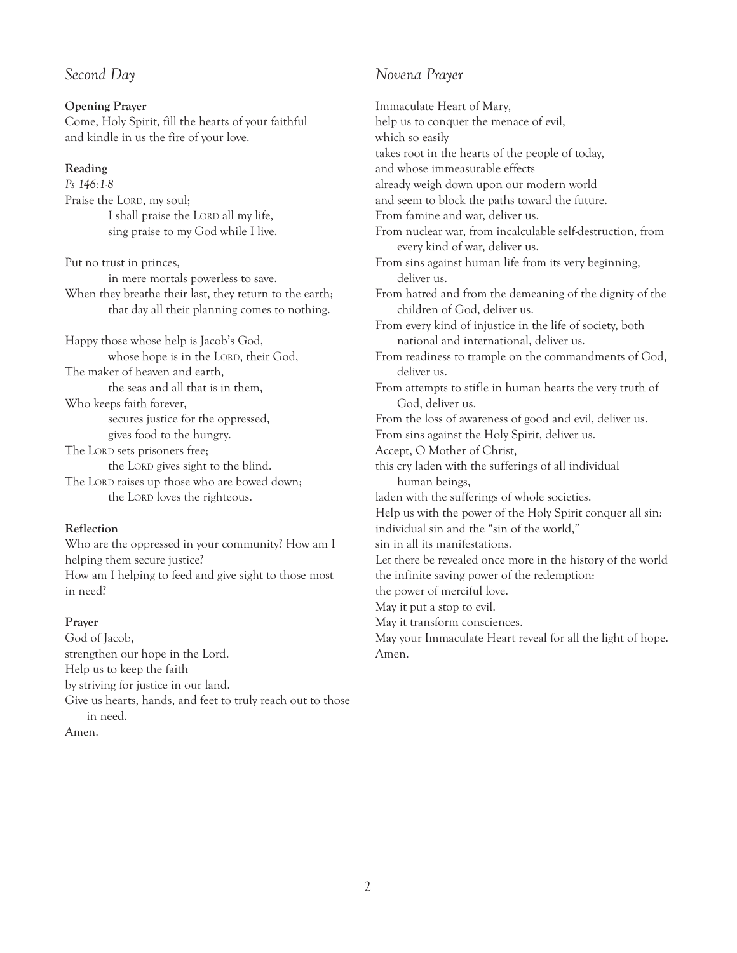## *Second Day*

**Opening Prayer** Come, Holy Spirit, fill the hearts of your faithful and kindle in us the fire of your love.

#### **Reading**

*Ps 146:1-8* Praise the LORD, my soul; I shall praise the LORD all my life, sing praise to my God while I live.

Put no trust in princes, in mere mortals powerless to save. When they breathe their last, they return to the earth; that day all their planning comes to nothing.

Happy those whose help is Jacob's God, whose hope is in the LORD, their God, The maker of heaven and earth, the seas and all that is in them, Who keeps faith forever, secures justice for the oppressed, gives food to the hungry. The LORD sets prisoners free; the LORD gives sight to the blind. The LORD raises up those who are bowed down; the LORD loves the righteous.

#### **Reflection**

Who are the oppressed in your community? How am I helping them secure justice? How am I helping to feed and give sight to those most in need?

#### **Prayer**

God of Jacob, strengthen our hope in the Lord. Help us to keep the faith by striving for justice in our land. Give us hearts, hands, and feet to truly reach out to those in need.

Amen.

## *Novena Prayer*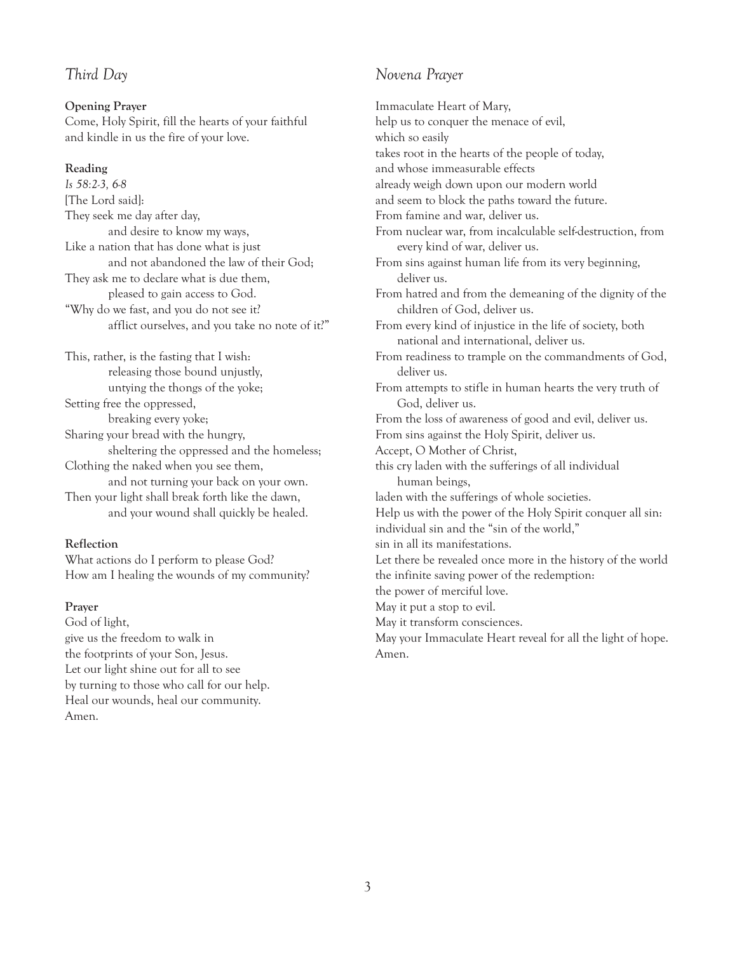## *Third Day*

#### **Opening Prayer** Come, Holy Spirit, fill the hearts of your faithful and kindle in us the fire of your love.

#### **Reading**

*Is 58:2-3, 6-8* [The Lord said]: They seek me day after day, and desire to know my ways, Like a nation that has done what is just and not abandoned the law of their God; They ask me to declare what is due them, pleased to gain access to God. "Why do we fast, and you do not see it? afflict ourselves, and you take no note of it?"

This, rather, is the fasting that I wish: releasing those bound unjustly, untying the thongs of the yoke; Setting free the oppressed, breaking every yoke; Sharing your bread with the hungry, sheltering the oppressed and the homeless; Clothing the naked when you see them, and not turning your back on your own. Then your light shall break forth like the dawn, and your wound shall quickly be healed.

#### **Reflection**

What actions do I perform to please God? How am I healing the wounds of my community?

#### **Prayer**

God of light, give us the freedom to walk in the footprints of your Son, Jesus. Let our light shine out for all to see by turning to those who call for our help. Heal our wounds, heal our community. Amen.

## *Novena Prayer*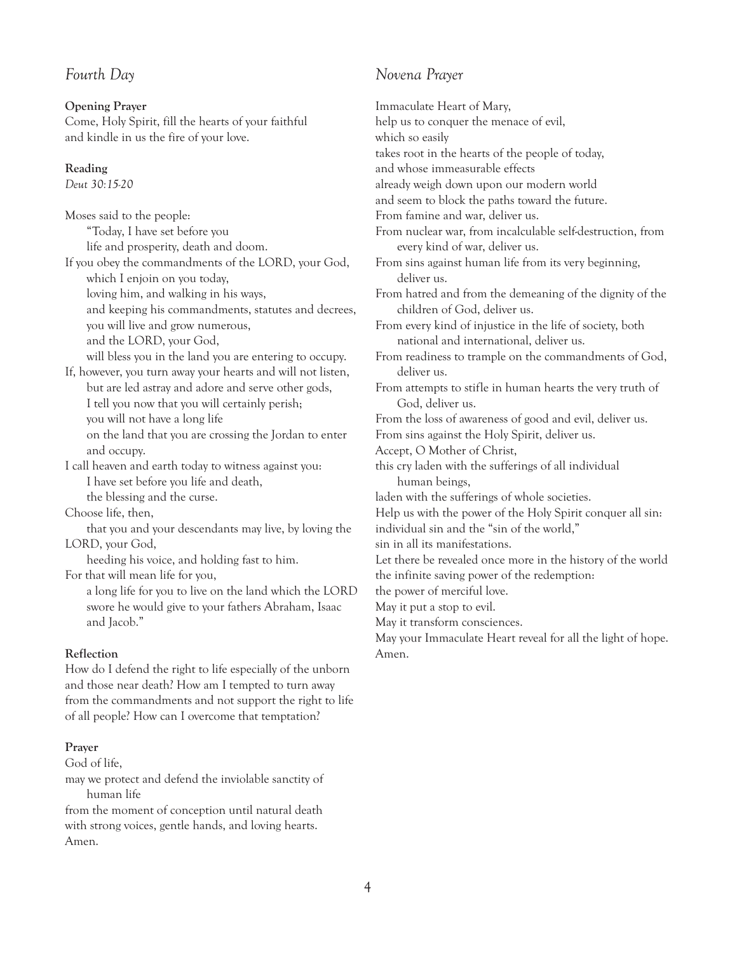## *Fourth Day*

#### **Opening Prayer**

Come, Holy Spirit, fill the hearts of your faithful and kindle in us the fire of your love.

#### **Reading**

*Deut 30:15-20*

Moses said to the people: "Today, I have set before you life and prosperity, death and doom. If you obey the commandments of the LORD, your God, which I enjoin on you today, loving him, and walking in his ways, and keeping his commandments, statutes and decrees, you will live and grow numerous, and the LORD, your God, will bless you in the land you are entering to occupy. If, however, you turn away your hearts and will not listen, but are led astray and adore and serve other gods, I tell you now that you will certainly perish; you will not have a long life on the land that you are crossing the Jordan to enter and occupy. I call heaven and earth today to witness against you: I have set before you life and death,

the blessing and the curse.

Choose life, then,

that you and your descendants may live, by loving the LORD, your God,

heeding his voice, and holding fast to him.

For that will mean life for you,

a long life for you to live on the land which the LORD swore he would give to your fathers Abraham, Isaac and Jacob."

#### **Reflection**

How do I defend the right to life especially of the unborn and those near death? How am I tempted to turn away from the commandments and not support the right to life of all people? How can I overcome that temptation?

#### **Prayer**

God of life,

may we protect and defend the inviolable sanctity of human life

from the moment of conception until natural death with strong voices, gentle hands, and loving hearts. Amen.

## *Novena Prayer*

Immaculate Heart of Mary, help us to conquer the menace of evil, which so easily takes root in the hearts of the people of today, and whose immeasurable effects already weigh down upon our modern world and seem to block the paths toward the future. From famine and war, deliver us. From nuclear war, from incalculable self-destruction, from every kind of war, deliver us. From sins against human life from its very beginning, deliver us. From hatred and from the demeaning of the dignity of the children of God, deliver us. From every kind of injustice in the life of society, both national and international, deliver us. From readiness to trample on the commandments of God, deliver us. From attempts to stifle in human hearts the very truth of God, deliver us. From the loss of awareness of good and evil, deliver us. From sins against the Holy Spirit, deliver us. Accept, O Mother of Christ, this cry laden with the sufferings of all individual human beings, laden with the sufferings of whole societies. Help us with the power of the Holy Spirit conquer all sin: individual sin and the "sin of the world," sin in all its manifestations. Let there be revealed once more in the history of the world the infinite saving power of the redemption: the power of merciful love. May it put a stop to evil. May it transform consciences.

May your Immaculate Heart reveal for all the light of hope. Amen.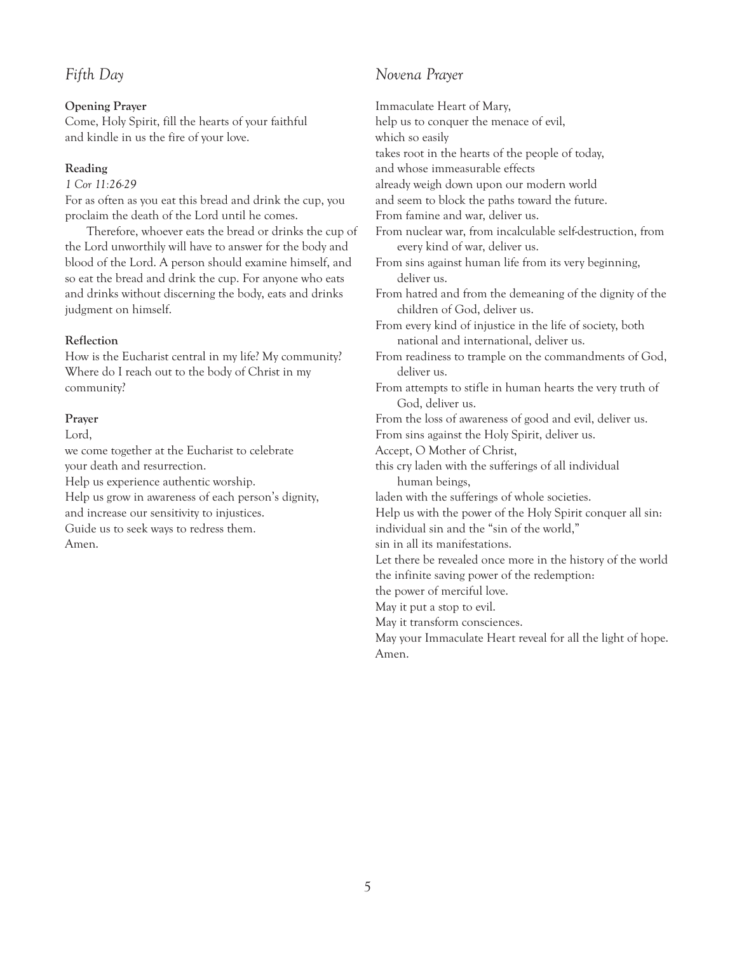# *Fifth Day*

#### **Opening Prayer**

Come, Holy Spirit, fill the hearts of your faithful and kindle in us the fire of your love.

#### **Reading**

#### *1 Cor 11:26-29*

For as often as you eat this bread and drink the cup, you proclaim the death of the Lord until he comes.

Therefore, whoever eats the bread or drinks the cup of the Lord unworthily will have to answer for the body and blood of the Lord. A person should examine himself, and so eat the bread and drink the cup. For anyone who eats and drinks without discerning the body, eats and drinks judgment on himself.

#### **Reflection**

How is the Eucharist central in my life? My community? Where do I reach out to the body of Christ in my community?

#### **Prayer**

Lord,

we come together at the Eucharist to celebrate your death and resurrection. Help us experience authentic worship. Help us grow in awareness of each person's dignity, and increase our sensitivity to injustices. Guide us to seek ways to redress them. Amen.

# *Novena Prayer*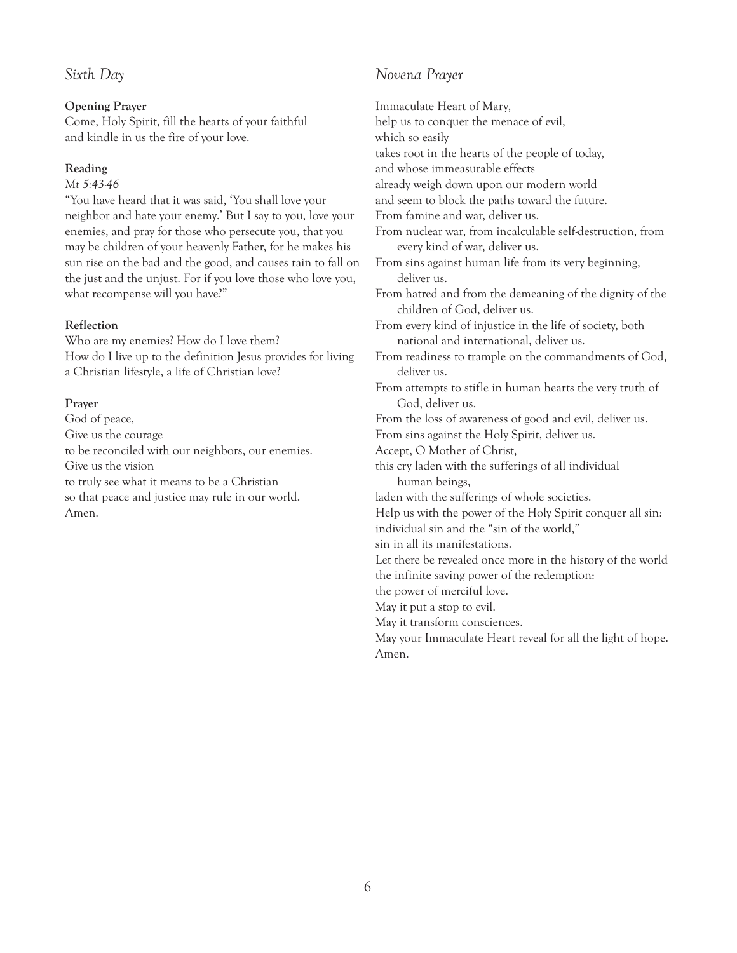# *Sixth Day*

### **Opening Prayer**

Come, Holy Spirit, fill the hearts of your faithful and kindle in us the fire of your love.

### **Reading**

#### *Mt 5:43-46*

"You have heard that it was said, 'You shall love your neighbor and hate your enemy.' But I say to you, love your enemies, and pray for those who persecute you, that you may be children of your heavenly Father, for he makes his sun rise on the bad and the good, and causes rain to fall on the just and the unjust. For if you love those who love you, what recompense will you have?"

### **Reflection**

Who are my enemies? How do I love them? How do I live up to the definition Jesus provides for living a Christian lifestyle, a life of Christian love?

### **Prayer**

God of peace, Give us the courage to be reconciled with our neighbors, our enemies. Give us the vision to truly see what it means to be a Christian so that peace and justice may rule in our world. Amen.

# *Novena Prayer*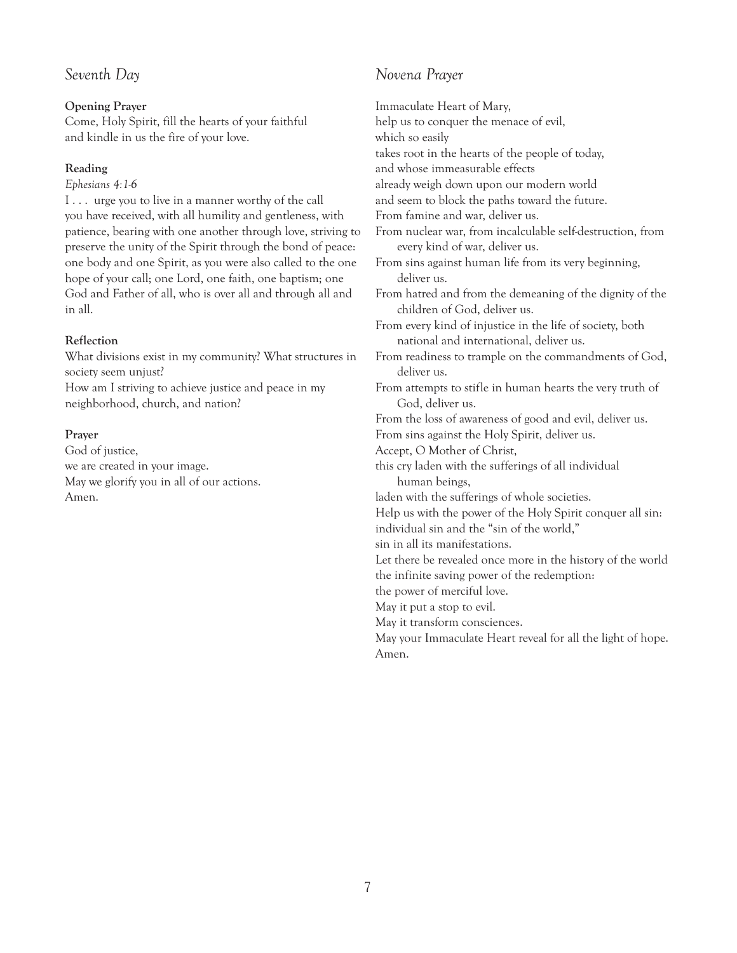## *Seventh Day*

### **Opening Prayer**

Come, Holy Spirit, fill the hearts of your faithful and kindle in us the fire of your love.

### **Reading**

#### *Ephesians 4:1-6*

I . . . urge you to live in a manner worthy of the call you have received, with all humility and gentleness, with patience, bearing with one another through love, striving to preserve the unity of the Spirit through the bond of peace: one body and one Spirit, as you were also called to the one hope of your call; one Lord, one faith, one baptism; one God and Father of all, who is over all and through all and in all.

### **Reflection**

What divisions exist in my community? What structures in society seem unjust? How am I striving to achieve justice and peace in my neighborhood, church, and nation?

#### **Prayer**

God of justice, we are created in your image. May we glorify you in all of our actions. Amen.

# *Novena Prayer*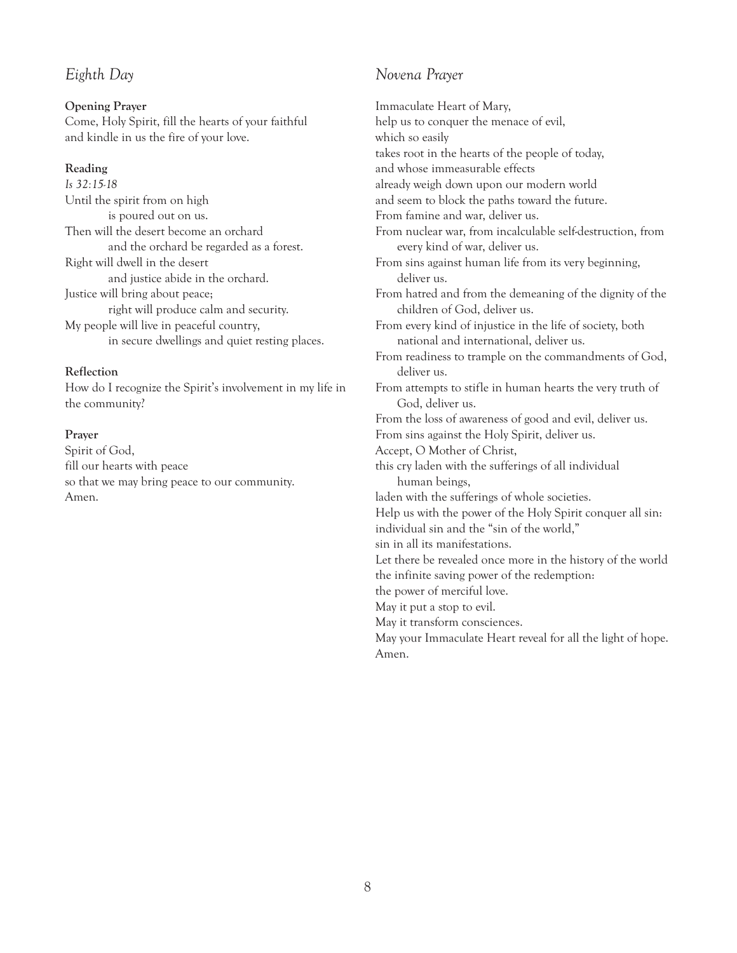## *Eighth Day*

#### **Opening Prayer** Come, Holy Spirit, fill the hearts of your faithful and kindle in us the fire of your love.

### **Reading**

*Is 32:15-18* Until the spirit from on high is poured out on us. Then will the desert become an orchard and the orchard be regarded as a forest. Right will dwell in the desert and justice abide in the orchard. Justice will bring about peace; right will produce calm and security. My people will live in peaceful country, in secure dwellings and quiet resting places.

#### **Reflection**

How do I recognize the Spirit's involvement in my life in the community?

#### **Prayer**

Spirit of God, fill our hearts with peace so that we may bring peace to our community. Amen.

# *Novena Prayer*